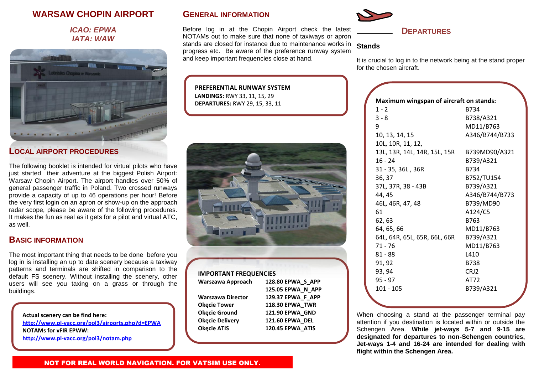# **WARSAW CHOPIN AIRPORT**

### *ICAO: EPWA IATA: WAW*



### **LOCAL AIRPORT PROCEDURES**

The following booklet is intended for virtual pilots who have just started their adventure at the biggest Polish Airport: Warsaw Chopin Airport. The airport handles over 50% of general passenger traffic in Poland. Two crossed runways provide a capacity of up to 46 operations per hour! Before the very first login on an apron or show-up on the approach radar scope, please be aware of the following procedures. It makes the fun as real as it gets for a pilot and virtual ATC, as well.

## **BASIC INFORMATION**

The most important thing that needs to be done before you log in is installing an up to date scenery because a taxiway patterns and terminals are shifted in comparison to the default FS scenery. Without installing the scenery, other users will see you taxing on a grass or through the buildings.

**Actual scenery can be find here:**

**<http://www.pl-vacc.org/pol3/airports.php?d=EPWA> NOTAMs for vFIR EPWW: <http://www.pl-vacc.org/pol3/notam.php>**

## **GENERAL INFORMATION**

Before log in at the Chopin Airport check the latest NOTAMs out to make sure that none of taxiways or apron stands are closed for instance due to maintenance works in progress etc. Be aware of the preference runway system and keep important frequencies close at hand.

**PREFERENTIAL RUNWAY SYSTEM LANDINGS:** RWY 33, 11, 15, 29 **DEPARTURES:** RWY 29, 15, 33, 11



#### **IMPORTANT FREQUENCIES**

| Warszawa Approach      | 128.80 EPWA S APP |
|------------------------|-------------------|
|                        | 125.05 EPWA N APP |
| Warszawa Director      | 129.37 EPWA F APP |
| <b>Okęcie Tower</b>    | 118.30 EPWA_TWR   |
| <b>Okecie Ground</b>   | 121.90 EPWA GND   |
| <b>Okecie Delivery</b> | 121.60 EPWA DEL   |
| <b>Okęcie ATIS</b>     | 120.45 EPWA_ATIS  |
|                        |                   |



## **DEPARTURES**

#### **Stands**

It is crucial to log in to the network being at the stand proper for the chosen aircraft.

| Maximum wingspan of aircraft on stands: |                |  |
|-----------------------------------------|----------------|--|
| $1 - 2$                                 | B734           |  |
| $3 - 8$                                 | B738/A321      |  |
| 9                                       | MD11/B763      |  |
| 10, 13, 14, 15                          | A346/B744/B733 |  |
| 10L, 10R, 11, 12,                       |                |  |
| 13L, 13R, 14L, 14R, 15L, 15R            | B739MD90/A321  |  |
| $16 - 24$                               | B739/A321      |  |
| 31 - 35, 36L, 36R                       | B734           |  |
| 36, 37                                  | B752/TU154     |  |
| 37L, 37R, 38 - 43B                      | B739/A321      |  |
| 44, 45                                  | A346/B744/B773 |  |
| 46L, 46R, 47, 48                        | B739/MD90      |  |
| 61                                      | A124/C5        |  |
| 62, 63                                  | B763           |  |
| 64, 65, 66                              | MD11/B763      |  |
| 64L, 64R, 65L, 65R, 66L, 66R            | B739/A321      |  |
| $71 - 76$                               | MD11/B763      |  |
| $81 - 88$                               | L410           |  |
| 91, 92                                  | B738           |  |
| 93, 94                                  | CRJ2           |  |
| $95 - 97$                               | AT72           |  |
| $101 - 105$                             | B739/A321      |  |
|                                         |                |  |

When choosing a stand at the passenger terminal pay attention if you destination is located within or outside the Schengen Area. **While jet-ways 5-7 and 9-15 are designated for departures to non-Schengen countries, Jet-ways 1-4 and 16-24 are intended for dealing with flight within the Schengen Area.**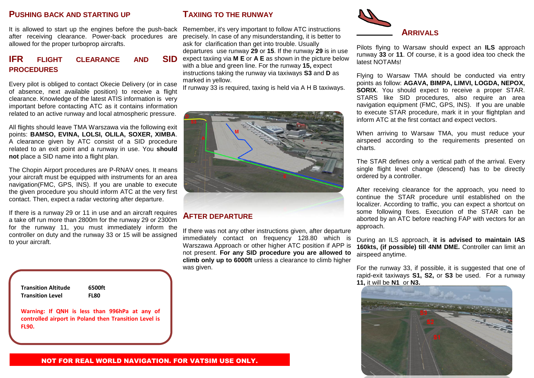#### **PUSHING BACK AND STARTING UP**

It is allowed to start up the engines before the push-back Remember, it's very important to follow ATC instructions after receiving clearance. Power-back procedures are allowed for the proper turboprop aircrafts.

# **IFR** FLIGHT CLEARANCE AND **PROCEDURES**

Every pilot is obliged to contact Okecie Delivery (or in case of absence, next available position) to receive a flight clearance. Knowledge of the latest ATIS information is very important before contacting ATC as it contains information related to an active runway and local atmospheric pressure.

All flights should leave TMA Warszawa via the following exit points: **BAMSO, EVINA, LOLSI, OLILA, SOXER, XIMBA**. A clearance given by ATC consist of a SID procedure related to an exit point and a runway in use. You **should not** place a SID name into a flight plan.

The Chopin Airport procedures are P-RNAV ones. It means your aircraft must be equipped with instruments for an area navigation(FMC, GPS, INS). If you are unable to execute the given procedure you should inform ATC at the very first contact. Then, expect a radar vectoring after departure.

If there is a runway 29 or 11 in use and an aircraft requires a take off run more than 2800m for the runway 29 or 2300m for the runway 11, you must immediately inform the controller on duty and the runway 33 or 15 will be assigned to your aircraft.

| <b>Transition Altitude</b> | 6500ft                                                                                                 |
|----------------------------|--------------------------------------------------------------------------------------------------------|
| <b>Transition Level</b>    | FL80                                                                                                   |
| FL90                       | Warning: If QNH is less than 996hPa at any of<br>controlled airport in Poland then Transition Level is |

# **TAXIING TO THE RUNWAY**

precisely. In case of any misunderstanding, it is better to ask for clarification than get into trouble. Usually departures use runway **29** or **15**. If the runway **29** is in use **SID** expect taxiing via **M E** or **A E** as shown in the picture below with a blue and green line. For the runway **15,** expect instructions taking the runway via taxiways **S3** and **D** as marked in yellow.

If runway 33 is required, taxing is held via A H B taxiways.



## **AFTER DEPARTURE**

If there was not any other instructions given, after departure immediately contact on frequency 128.80 which is Warszawa Approach or other higher ATC position if APP is not present. **For any SID procedure you are allowed to climb only up to 6000ft** unless a clearance to climb higher was given.



Pilots flying to Warsaw should expect an **ILS** approach runway **33** or **11**. Of course, it is a good idea too check the latest NOTAMs!

Flying to Warsaw TMA should be conducted via entry points as follow: **AGAVA, BIMPA, LIMVI, LOGDA, NEPOX, SORIX**. You should expect to receive a proper STAR. STARS like SID procedures, also require an area navigation equipment (FMC, GPS, INS). If you are unable to execute STAR procedure, mark it in your flightplan and inform ATC at the first contact and expect vectors.

When arriving to Warsaw TMA, you must reduce your airspeed according to the requirements presented on charts.

The STAR defines only a vertical path of the arrival. Every single flight level change (descend) has to be directly ordered by a controller.

After receiving clearance for the approach, you need to continue the STAR procedure until established on the localizer. According to traffic, you can expect a shortcut on some following fixes. Execution of the STAR can be aborted by an ATC before reaching FAP with vectors for an approach.

During an ILS approach, **it is advised to maintain IAS 160kts, (if possible) till 4NM DME.** Controller can limit an airspeed anytime.

For the runway 33, if possible, it is suggested that one of rapid-exit taxiways **S1, S2,** or **S3** be used. For a runway **11,** it will be **N1** or **N3.**